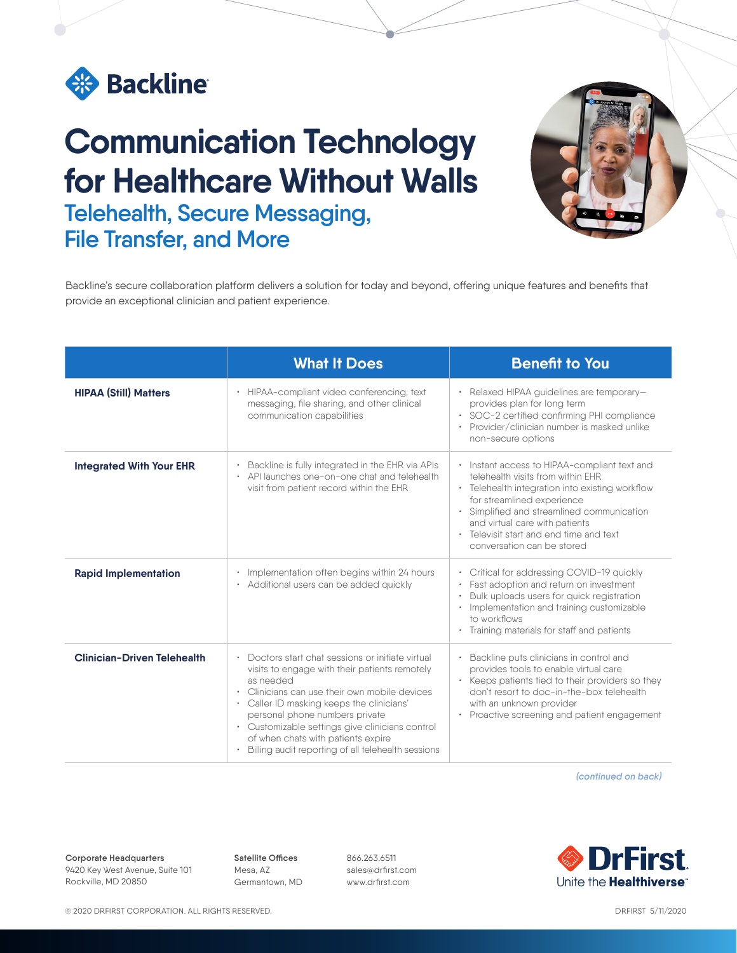

## **Communication Technology for Healthcare Without Walls Telehealth, Secure Messaging, File Transfer, and More**



Backline's secure collaboration platform delivers a solution for today and beyond, offering unique features and benefits that provide an exceptional clinician and patient experience.

|                                    | <b>What It Does</b>                                                                                                                                                                                                                                                                                                                                                                        | <b>Benefit to You</b>                                                                                                                                                                                                                                                                                                   |
|------------------------------------|--------------------------------------------------------------------------------------------------------------------------------------------------------------------------------------------------------------------------------------------------------------------------------------------------------------------------------------------------------------------------------------------|-------------------------------------------------------------------------------------------------------------------------------------------------------------------------------------------------------------------------------------------------------------------------------------------------------------------------|
| <b>HIPAA (Still) Matters</b>       | HIPAA-compliant video conferencing, text<br>messaging, file sharing, and other clinical<br>communication capabilities                                                                                                                                                                                                                                                                      | • Relaxed HIPAA guidelines are temporary-<br>provides plan for long term<br>· SOC-2 certified confirming PHI compliance<br>Provider/clinician number is masked unlike<br>non-secure options                                                                                                                             |
| <b>Integrated With Your EHR</b>    | Backline is fully integrated in the EHR via APIs<br>API launches one-on-one chat and telehealth<br>visit from patient record within the EHR                                                                                                                                                                                                                                                | • Instant access to HIPAA-compliant text and<br>telehealth visits from within EHR<br>• Telehealth integration into existing workflow<br>for streamlined experience<br>Simplified and streamlined communication<br>and virtual care with patients<br>Televisit start and end time and text<br>conversation can be stored |
| <b>Rapid Implementation</b>        | Implementation often begins within 24 hours<br>• Additional users can be added quickly                                                                                                                                                                                                                                                                                                     | • Critical for addressing COVID-19 quickly<br>Fast adoption and return on investment<br>Bulk uploads users for quick registration<br>Implementation and training customizable<br>to workflows<br>Training materials for staff and patients                                                                              |
| <b>Clinician-Driven Telehealth</b> | Doctors start chat sessions or initiate virtual<br>visits to engage with their patients remotely<br>as needed<br>Clinicians can use their own mobile devices<br>• Caller ID masking keeps the clinicians'<br>personal phone numbers private<br>• Customizable settings give clinicians control<br>of when chats with patients expire<br>Billing audit reporting of all telehealth sessions | Backline puts clinicians in control and<br>provides tools to enable virtual care<br>Keeps patients tied to their providers so they<br>don't resort to doc-in-the-box telehealth<br>with an unknown provider<br>Proactive screening and patient engagement                                                               |

*(continued on back)*

**Corporate Headquarters** 9420 Key West Avenue, Suite 101 Rockville, MD 20850

**Satellite Offices** Mesa, AZ Germantown, MD 866.263.6511 sales@drfirst.com www.drfirst.com